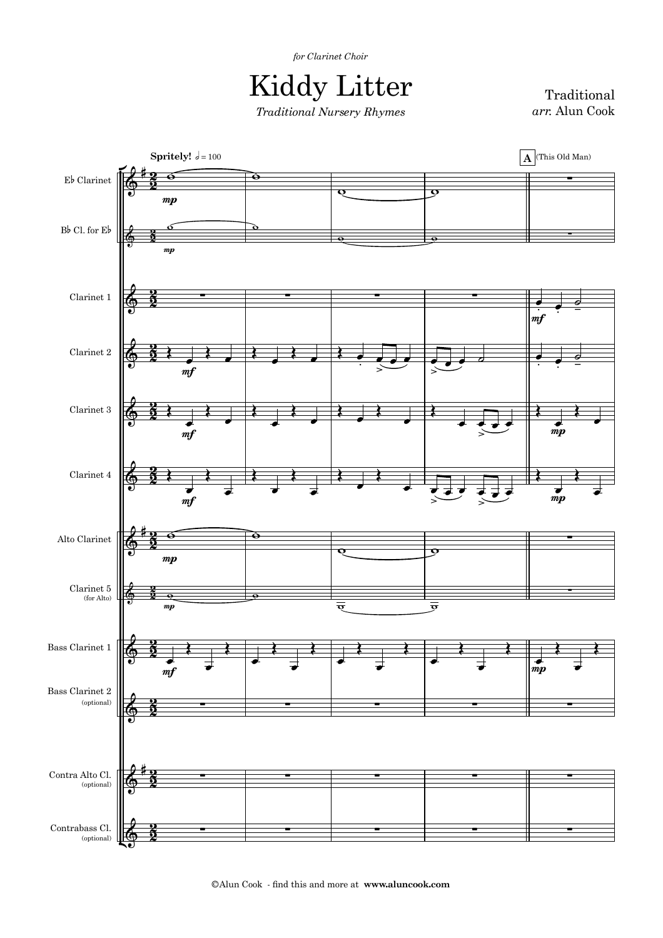*for Clarinet Choir*

| <b>Kiddy Litter</b>               |
|-----------------------------------|
| <b>Traditional Nursery Rhymes</b> |

Traditional *arr.* Alun Cook



©Alun Cook - find this and more at **www.aluncook.com**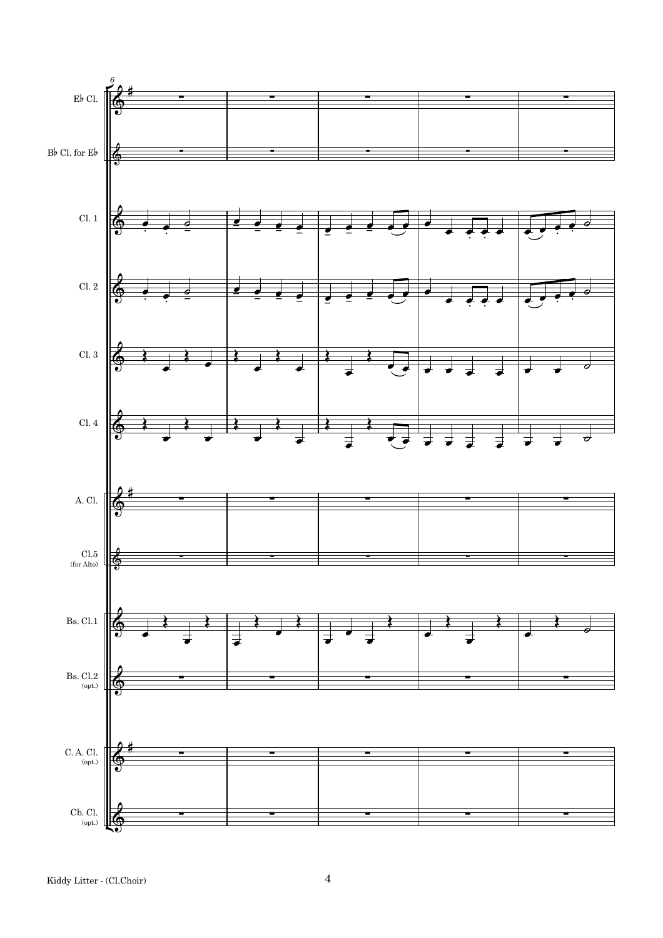